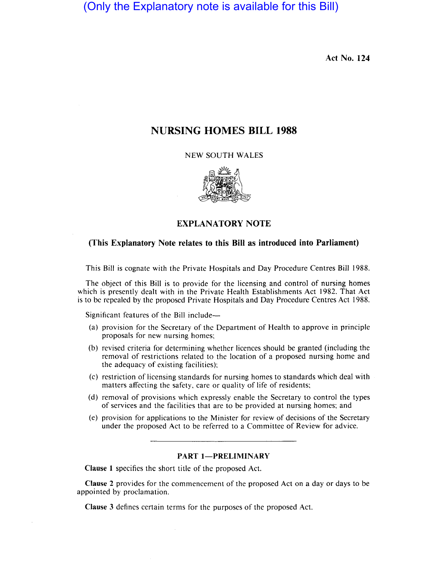(Only the Explanatory note is available for this Bill)

Act No. 124

# NURSING HOMES BILL 1988

NEW SOUTH WALES



### EXPLANATORY NOTE

### (This Explanatory Note relates to this Bill as introduced into Parliament)

This Bill is cognate with the Private Hospitals and Day Procedure Centres Bill 1988.

The object of this Bill is to provide for the licensing and control of nursing homes which is presently dealt with in the Private Health Establishments Act 1982. That Act is to be repealed by the proposed Private Hospitals and Day Procedure Centres Act 1988.

Significant features of the Bill include-

- (a) provision for the Secretary of the Department of Health to approve in principle proposals for new nursing homes;
- (b) revised criteria for determining whether licences should be granted (including the removal of restrictions related to the location of a proposed nursing home and the adequacy of existing facilities);
- (c) restriction of licensing standards for nursing homes to standards which deal with matters affecting the safety, care or quality of life of residents;
- (d) removal of provisions which expressly enable the Secretary to control the types of services and the facilities that are to be provided at nursing homes; and
- (e) provision for applications to the Minister for review of decisions of the Secretary under the proposed Act to be referred to a Committee of Review for advice.

## PART 1-PRELIMINARY

Clause I specifies the short title of the proposed Act.

Clause 2 provides for the commencement of the proposed Act on a day or days to be appointed by proclamation.

Clause 3 defines certain terms for the purposes of the proposed Act.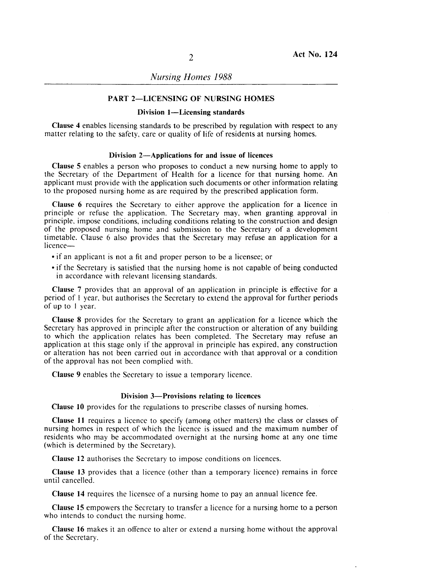*Nursing Homes 1988* 

### PART 2-LICENSING OF NURSING HOMES

### Division 1-Licensing standards

Clause 4 enables licensing standards to be prescribed by regulation with respect to any matter relating to the safety, care or quality of life of residents at nursing homes.

#### Division 2-Applications for and issue of licences

Clause 5 enables a person who proposes to conduct a new nursing home to apply to the Secretary of the Department of Health for a licence for that nursing home. An applicant must provide with the application such documents or other information relating to the proposed nursing home as are required by the prescribed application form.

Clause 6 requires the Secretary to either approve the application for a licence in principle or refuse the application. The Secretary may, when granting approval in principle, impose conditions, including cohditions relating to the construction and design of the proposed nursing home and submission to the Secretary of a development timetable. Clause 6 also provides that the Secretary may refuse an application for a licence-

- if an applicant is not a fit and proper person to be a licensee; or
- if the Secretary is satisfied that the nursing home is not capable of being conducted in accordance with relevant licensing standards.

Clause 7 provides that an approval of an application in principle is effective for a period of I year, but authorises the Secretary to extend the approval for further periods of up to I year. '

Clause 8 provides for the Secretary to grant an application for a licence which the Secretary has approved in principle after the construction or alteration of any building to which the application relates has been completed. The Secretary may refuse an application at this stage only if the approval in principle has expired, any construction or alteration has not been carried out in laccordance with that approval or a condition of the approval has not been complied with.

Clause 9 enables the Secretary to issue a temporary licence.

### Division 3-Provisions relating to licences

Clause 10 provides for the regulations to prescribe classes of nursing homes.

Clause 11 requires a licence to specify (among other matters) the class or classes of nursing homes in respect of which the licence is issued and the maximum number of residents who may be accommodated overnight at the nursing home at any one time (which is determined by the Secretary).

Clause 12 authorises the Secretary to impose conditions on licences.

Clause 13 provides that a licence (other than a temporary licence) remains in force until cancelled.

Clause 14 requires the licensee of a nursing home to pay an annual licence fee.

Clause 15 empowers the Secretary to transfer a licence for a nursing home to a person who intends to conduct the nursing home.

Clause 16 makes it an offence to alter or extend a nursing home without the approval of the Secretary.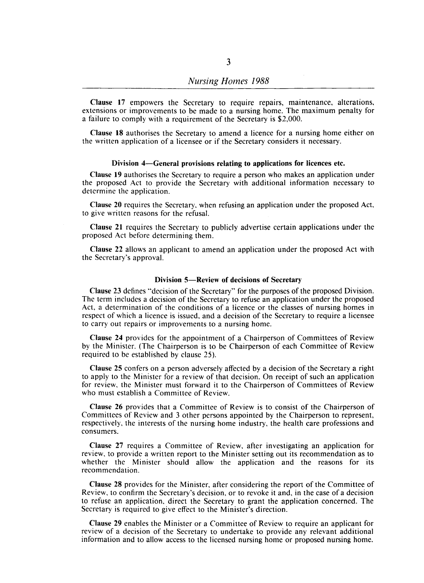Clause 17 empowers the Secretary to require repairs, maintenance, alterations, extensions or improvements to be made to a nursing home. The maximum penalty for a failure to comply with a requirement of the Secretary is \$2,000.

Clause 18 authorises the Secretary to amend a licence for a nursing home either on the written application of a licensee or if the Secretary considers it necessary.

#### Division 4-General provisions relating to applications for licences etc.

Clause 19 authorises the Secretary to require a person who makes an application under the proposed Act to provide the Secretary with additional information necessary to determine the application.

Clause 20 requires the Secretary. when refusing an application under the proposed Act, to give written reasons for the refusal.

Clause 21 requires the Secretary to publicly advertise certain applications under the proposed Act before determining them.

Clause 22 allows an applicant to amend an application under the proposed Act with the Secretary's approval.

### Division 5-Review of decisions of Secretary

Clause 23 defines "decision of the Secretary" for the purposes of the proposed Division. The term includes a decision of the Secretary to refuse an application under the proposed Act. a determination of the conditions of a licence or the classes of nursing homes in respect of which a licence is issued. and a decision of the Secretary to require a licensee to carry out repairs or improvements to a nursing home.

Clause 24 provides for the appointment of a Chairperson of Committees of Review by the Minister. (The Chairperson is to be Chairperson of each Committee of Review required to be established by clause 25).

Clause 25 confers on a person adversely affected by a decision of the Secretary a right to apply to the Minister for a review of that decision. On receipt of such an application for review. the Minister must forward it to the Chairperson of Committees of Review who must establish a Committee of Review.

Clause 26 provides that a Committee of Review is to consist of the Chairperson of Committees of Review and 3 other persons appointed by the Chairperson to represent. respectively. the interests of the nursing home industry. the health care professions and consumers.

Clause 27 requires a Committee of Review. after investigating an application for review. to provide a written report to the Minister setting out its recommendation as to whether the Minister should allow the application and the reasons for its recommendation.

Clause 28 provides for the Minister. after considering the report of the Committee of Review. to confirm the Secretary's decision, or to revoke it and, in the case of a decision to refuse an application. direct the Secretary to grant the application concerned. The Secretary is required to give effect to the Minister's direction.

Clause 29 enables the Minister or a Committee of Review to require an applicant for review of a decision of the Secretary to undertake to provide any relevant additional information and to allow access to the licensed nursing home or proposed nursing home.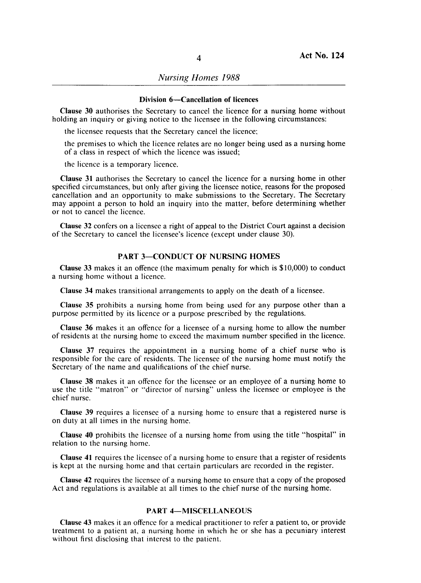#### Division 6-Cancellation of licences

Clause 30 authorises the Secretary to cancel the licence for a nursing home without holding an inquiry or giving notice to the licensee in the following circumstances:

the licensee requests that the Secretary cancel the licence;

the premises to which the licence relates are no longer being used as a nursing home of a class in respect of which the licence was issued;

the licence is a temporary licence.

Clause 31 authorises the Secretary to cancel the licence for a nursing home in other specified circumstances, but only after giving the licensee notice, reasons for the proposed cancellation and an opportunity to make submissions to the Secretary. The Secretary may appoint a person to hold an inquiry into the matter, before determining whether or not to cancel the licence.

Clause 32 confers on a licensee a right of appeal to the District Court against a decision of the Secretary to cancel the licensee's licence (except under clause 30).

## PART 3-CONDUCT OF NURSING HOMES

Clause 33 makes it an offence (the maximum penalty for which is \$10,000) to conduct a nursing home without a licence.

Clause 34 makes transitional arrangements to apply on the death of a licensee.

Clause 35 prohibits a nursing home from being used for any purpose other than a purpose permitted by its licence or a purpose prescribed by the regulations.

Clause 36 makes it an offence for a licensee of a nursing home to allow the number of residents at the nursing home to exceed the maximum number specified in the licence.

Clause 37 requires the appointment in a nursing home of a chief nurse who is responsible for the care of residents. The licensee of the nursing home must notify the Secretary of the name and qualifications of the chief nurse.

Clause 38 makes it an offence for the licensee or an employee of a nursing home to use the title "matron" or "director of nursing" unless the licensee or employee is the chief nurse.

Clause 39 requires a licensee of a nursing home to ensure that a registered nurse is on duty at all times in the nursing home.

Clause 40 prohibits the licensee of a nursing home from using the title "hospital" in relation to the nursing home.

Clause 41 requires the licensee of a nursing home to ensure that a register of residents is kept at the nursing home and that certain particulars are recorded in the register.

Clause 42 requires the licensee of a nursing home to ensure that a copy of the proposed Act and regulations is available at all times to the chief nurse of the nursing home.

### PART 4-MISCELLANEOUS

Clause 43 makes it an offence for a medical practitioner to refer a patient to, or provide treatment to a patient at, a nursing home in which he or she has a pecuniary interest without first disclosing that interest to the patient.